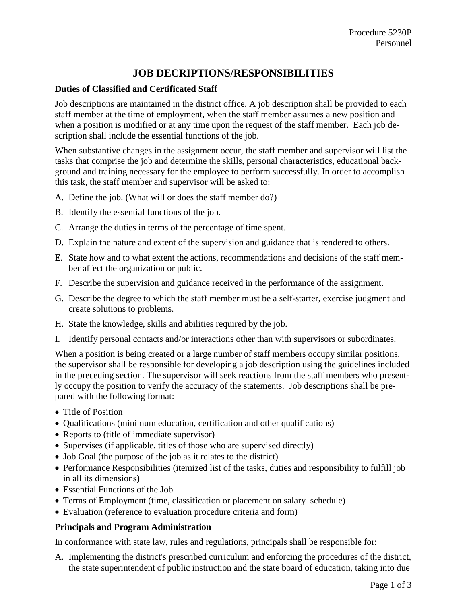# **JOB DECRIPTIONS/RESPONSIBILITIES**

# **Duties of Classified and Certificated Staff**

Job descriptions are maintained in the district office. A job description shall be provided to each staff member at the time of employment, when the staff member assumes a new position and when a position is modified or at any time upon the request of the staff member. Each job description shall include the essential functions of the job.

When substantive changes in the assignment occur, the staff member and supervisor will list the tasks that comprise the job and determine the skills, personal characteristics, educational background and training necessary for the employee to perform successfully. In order to accomplish this task, the staff member and supervisor will be asked to:

- A. Define the job. (What will or does the staff member do?)
- B. Identify the essential functions of the job.
- C. Arrange the duties in terms of the percentage of time spent.
- D. Explain the nature and extent of the supervision and guidance that is rendered to others.
- E. State how and to what extent the actions, recommendations and decisions of the staff member affect the organization or public.
- F. Describe the supervision and guidance received in the performance of the assignment.
- G. Describe the degree to which the staff member must be a self-starter, exercise judgment and create solutions to problems.
- H. State the knowledge, skills and abilities required by the job.
- I. Identify personal contacts and/or interactions other than with supervisors or subordinates.

When a position is being created or a large number of staff members occupy similar positions, the supervisor shall be responsible for developing a job description using the guidelines included in the preceding section. The supervisor will seek reactions from the staff members who presently occupy the position to verify the accuracy of the statements. Job descriptions shall be prepared with the following format:

- Title of Position
- Qualifications (minimum education, certification and other qualifications)
- Reports to (title of immediate supervisor)
- Supervises (if applicable, titles of those who are supervised directly)
- Job Goal (the purpose of the job as it relates to the district)
- Performance Responsibilities (itemized list of the tasks, duties and responsibility to fulfill job in all its dimensions)
- Essential Functions of the Job
- Terms of Employment (time, classification or placement on salary schedule)
- Evaluation (reference to evaluation procedure criteria and form)

#### **Principals and Program Administration**

In conformance with state law, rules and regulations, principals shall be responsible for:

A. Implementing the district's prescribed curriculum and enforcing the procedures of the district, the state superintendent of public instruction and the state board of education, taking into due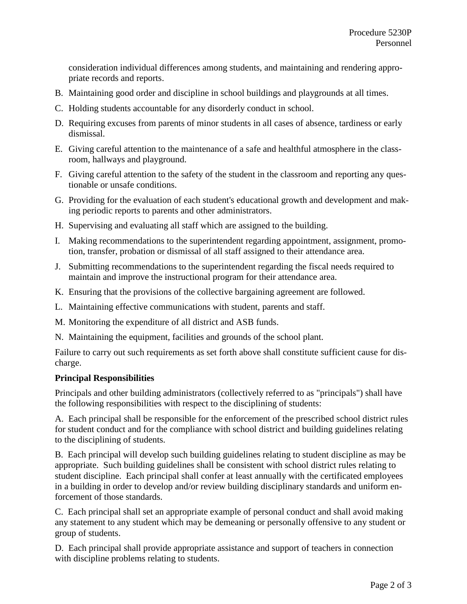consideration individual differences among students, and maintaining and rendering appropriate records and reports.

- B. Maintaining good order and discipline in school buildings and playgrounds at all times.
- C. Holding students accountable for any disorderly conduct in school.
- D. Requiring excuses from parents of minor students in all cases of absence, tardiness or early dismissal.
- E. Giving careful attention to the maintenance of a safe and healthful atmosphere in the classroom, hallways and playground.
- F. Giving careful attention to the safety of the student in the classroom and reporting any questionable or unsafe conditions.
- G. Providing for the evaluation of each student's educational growth and development and making periodic reports to parents and other administrators.
- H. Supervising and evaluating all staff which are assigned to the building.
- I. Making recommendations to the superintendent regarding appointment, assignment, promotion, transfer, probation or dismissal of all staff assigned to their attendance area.
- J. Submitting recommendations to the superintendent regarding the fiscal needs required to maintain and improve the instructional program for their attendance area.
- K. Ensuring that the provisions of the collective bargaining agreement are followed.
- L. Maintaining effective communications with student, parents and staff.
- M. Monitoring the expenditure of all district and ASB funds.
- N. Maintaining the equipment, facilities and grounds of the school plant.

Failure to carry out such requirements as set forth above shall constitute sufficient cause for discharge.

#### **Principal Responsibilities**

Principals and other building administrators (collectively referred to as "principals") shall have the following responsibilities with respect to the disciplining of students:

A. Each principal shall be responsible for the enforcement of the prescribed school district rules for student conduct and for the compliance with school district and building guidelines relating to the disciplining of students.

B. Each principal will develop such building guidelines relating to student discipline as may be appropriate. Such building guidelines shall be consistent with school district rules relating to student discipline. Each principal shall confer at least annually with the certificated employees in a building in order to develop and/or review building disciplinary standards and uniform enforcement of those standards.

C. Each principal shall set an appropriate example of personal conduct and shall avoid making any statement to any student which may be demeaning or personally offensive to any student or group of students.

D. Each principal shall provide appropriate assistance and support of teachers in connection with discipline problems relating to students.